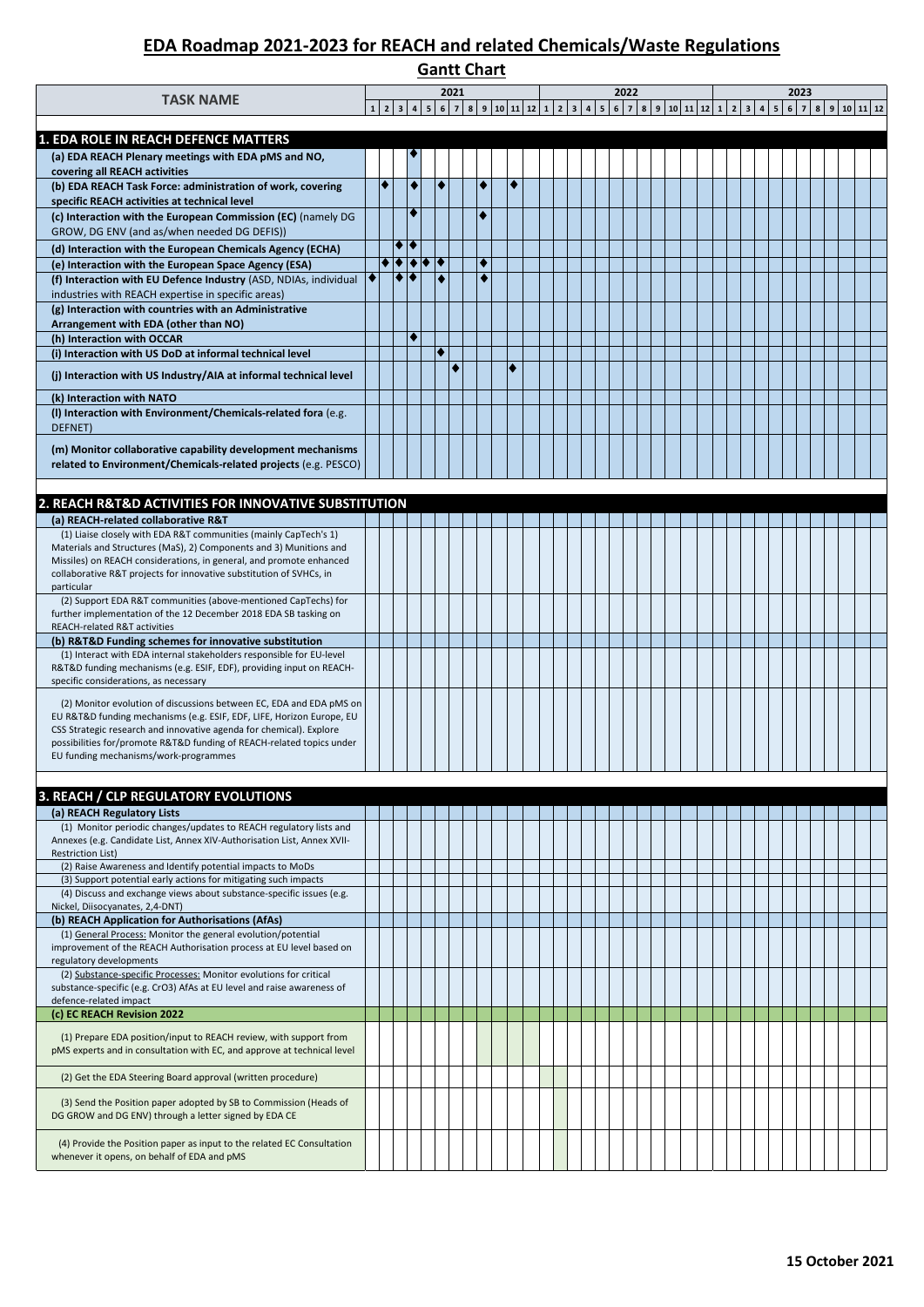# **Gantt Chart**

| <b>TASK NAME</b>                                                                                                                              |   |        |                                            |   | 2021 |        |   |  |  | 2022 |  |  |  |  | 2023 |                                                                                  |  |
|-----------------------------------------------------------------------------------------------------------------------------------------------|---|--------|--------------------------------------------|---|------|--------|---|--|--|------|--|--|--|--|------|----------------------------------------------------------------------------------|--|
|                                                                                                                                               |   |        |                                            |   |      |        |   |  |  |      |  |  |  |  |      | 1 2 3 4 5 6 7 8 9 10 11 12 1 2 3 4 5 6 7 8 9 10 11 12 1 2 3 4 5 6 7 8 9 10 11 12 |  |
| 1. EDA ROLE IN REACH DEFENCE MATTERS                                                                                                          |   |        |                                            |   |      |        |   |  |  |      |  |  |  |  |      |                                                                                  |  |
| (a) EDA REACH Plenary meetings with EDA pMS and NO,                                                                                           |   |        |                                            |   |      |        |   |  |  |      |  |  |  |  |      |                                                                                  |  |
| covering all REACH activities                                                                                                                 | ٠ |        | ٠                                          | ۰ |      | ٠      | ٠ |  |  |      |  |  |  |  |      |                                                                                  |  |
| (b) EDA REACH Task Force: administration of work, covering<br>specific REACH activities at technical level                                    |   |        |                                            |   |      |        |   |  |  |      |  |  |  |  |      |                                                                                  |  |
| (c) Interaction with the European Commission (EC) (namely DG                                                                                  |   |        | $\bullet$                                  |   |      | ٠      |   |  |  |      |  |  |  |  |      |                                                                                  |  |
| GROW, DG ENV (and as/when needed DG DEFIS))                                                                                                   |   |        |                                            |   |      |        |   |  |  |      |  |  |  |  |      |                                                                                  |  |
| (d) Interaction with the European Chemicals Agency (ECHA)                                                                                     |   | ◆  ◆   |                                            |   |      |        |   |  |  |      |  |  |  |  |      |                                                                                  |  |
| (e) Interaction with the European Space Agency (ESA)                                                                                          |   | ٠<br>٠ | $\blacktriangleright$ $\blacklozenge$<br>ଭ |   |      | ٠<br>٠ |   |  |  |      |  |  |  |  |      |                                                                                  |  |
| (f) Interaction with EU Defence Industry (ASD, NDIAs, individual<br>industries with REACH expertise in specific areas)                        |   |        |                                            |   |      |        |   |  |  |      |  |  |  |  |      |                                                                                  |  |
| (g) Interaction with countries with an Administrative                                                                                         |   |        |                                            |   |      |        |   |  |  |      |  |  |  |  |      |                                                                                  |  |
| Arrangement with EDA (other than NO)                                                                                                          |   |        |                                            |   |      |        |   |  |  |      |  |  |  |  |      |                                                                                  |  |
| (h) Interaction with OCCAR                                                                                                                    |   |        | $\blacklozenge$                            |   |      |        |   |  |  |      |  |  |  |  |      |                                                                                  |  |
| (i) Interaction with US DoD at informal technical level                                                                                       |   |        |                                            |   |      |        |   |  |  |      |  |  |  |  |      |                                                                                  |  |
| (j) Interaction with US Industry/AIA at informal technical level                                                                              |   |        |                                            |   |      |        |   |  |  |      |  |  |  |  |      |                                                                                  |  |
| (k) Interaction with NATO                                                                                                                     |   |        |                                            |   |      |        |   |  |  |      |  |  |  |  |      |                                                                                  |  |
| (I) Interaction with Environment/Chemicals-related fora (e.g.<br>DEFNET)                                                                      |   |        |                                            |   |      |        |   |  |  |      |  |  |  |  |      |                                                                                  |  |
|                                                                                                                                               |   |        |                                            |   |      |        |   |  |  |      |  |  |  |  |      |                                                                                  |  |
| (m) Monitor collaborative capability development mechanisms<br>related to Environment/Chemicals-related projects (e.g. PESCO)                 |   |        |                                            |   |      |        |   |  |  |      |  |  |  |  |      |                                                                                  |  |
|                                                                                                                                               |   |        |                                            |   |      |        |   |  |  |      |  |  |  |  |      |                                                                                  |  |
| 2. REACH R&T&D ACTIVITIES FOR INNOVATIVE SUBSTITUTION                                                                                         |   |        |                                            |   |      |        |   |  |  |      |  |  |  |  |      |                                                                                  |  |
| (a) REACH-related collaborative R&T                                                                                                           |   |        |                                            |   |      |        |   |  |  |      |  |  |  |  |      |                                                                                  |  |
| (1) Liaise closely with EDA R&T communities (mainly CapTech's 1)                                                                              |   |        |                                            |   |      |        |   |  |  |      |  |  |  |  |      |                                                                                  |  |
| Materials and Structures (MaS), 2) Components and 3) Munitions and                                                                            |   |        |                                            |   |      |        |   |  |  |      |  |  |  |  |      |                                                                                  |  |
| Missiles) on REACH considerations, in general, and promote enhanced<br>collaborative R&T projects for innovative substitution of SVHCs, in    |   |        |                                            |   |      |        |   |  |  |      |  |  |  |  |      |                                                                                  |  |
| particular                                                                                                                                    |   |        |                                            |   |      |        |   |  |  |      |  |  |  |  |      |                                                                                  |  |
| (2) Support EDA R&T communities (above-mentioned CapTechs) for<br>further implementation of the 12 December 2018 EDA SB tasking on            |   |        |                                            |   |      |        |   |  |  |      |  |  |  |  |      |                                                                                  |  |
| REACH-related R&T activities                                                                                                                  |   |        |                                            |   |      |        |   |  |  |      |  |  |  |  |      |                                                                                  |  |
| (b) R&T&D Funding schemes for innovative substitution                                                                                         |   |        |                                            |   |      |        |   |  |  |      |  |  |  |  |      |                                                                                  |  |
| (1) Interact with EDA internal stakeholders responsible for EU-level<br>R&T&D funding mechanisms (e.g. ESIF, EDF), providing input on REACH-  |   |        |                                            |   |      |        |   |  |  |      |  |  |  |  |      |                                                                                  |  |
| specific considerations, as necessary                                                                                                         |   |        |                                            |   |      |        |   |  |  |      |  |  |  |  |      |                                                                                  |  |
| (2) Monitor evolution of discussions between EC, EDA and EDA pMS on                                                                           |   |        |                                            |   |      |        |   |  |  |      |  |  |  |  |      |                                                                                  |  |
| EU R&T&D funding mechanisms (e.g. ESIF, EDF, LIFE, Horizon Europe, EU                                                                         |   |        |                                            |   |      |        |   |  |  |      |  |  |  |  |      |                                                                                  |  |
| CSS Strategic research and innovative agenda for chemical). Explore<br>possibilities for/promote R&T&D funding of REACH-related topics under  |   |        |                                            |   |      |        |   |  |  |      |  |  |  |  |      |                                                                                  |  |
| EU funding mechanisms/work-programmes                                                                                                         |   |        |                                            |   |      |        |   |  |  |      |  |  |  |  |      |                                                                                  |  |
|                                                                                                                                               |   |        |                                            |   |      |        |   |  |  |      |  |  |  |  |      |                                                                                  |  |
| 3. REACH / CLP REGULATORY EVOLUTIONS                                                                                                          |   |        |                                            |   |      |        |   |  |  |      |  |  |  |  |      |                                                                                  |  |
| (a) REACH Regulatory Lists                                                                                                                    |   |        |                                            |   |      |        |   |  |  |      |  |  |  |  |      |                                                                                  |  |
| (1) Monitor periodic changes/updates to REACH regulatory lists and<br>Annexes (e.g. Candidate List, Annex XIV-Authorisation List, Annex XVII- |   |        |                                            |   |      |        |   |  |  |      |  |  |  |  |      |                                                                                  |  |
| <b>Restriction List)</b>                                                                                                                      |   |        |                                            |   |      |        |   |  |  |      |  |  |  |  |      |                                                                                  |  |
| (2) Raise Awareness and Identify potential impacts to MoDs<br>(3) Support potential early actions for mitigating such impacts                 |   |        |                                            |   |      |        |   |  |  |      |  |  |  |  |      |                                                                                  |  |
| (4) Discuss and exchange views about substance-specific issues (e.g.                                                                          |   |        |                                            |   |      |        |   |  |  |      |  |  |  |  |      |                                                                                  |  |
| Nickel, Diisocyanates, 2,4-DNT)<br>(b) REACH Application for Authorisations (AfAs)                                                            |   |        |                                            |   |      |        |   |  |  |      |  |  |  |  |      |                                                                                  |  |
| (1) General Process: Monitor the general evolution/potential                                                                                  |   |        |                                            |   |      |        |   |  |  |      |  |  |  |  |      |                                                                                  |  |
| improvement of the REACH Authorisation process at EU level based on                                                                           |   |        |                                            |   |      |        |   |  |  |      |  |  |  |  |      |                                                                                  |  |
| regulatory developments<br>(2) Substance-specific Processes: Monitor evolutions for critical                                                  |   |        |                                            |   |      |        |   |  |  |      |  |  |  |  |      |                                                                                  |  |
| substance-specific (e.g. CrO3) AfAs at EU level and raise awareness of                                                                        |   |        |                                            |   |      |        |   |  |  |      |  |  |  |  |      |                                                                                  |  |
| defence-related impact                                                                                                                        |   |        |                                            |   |      |        |   |  |  |      |  |  |  |  |      |                                                                                  |  |
| (c) EC REACH Revision 2022                                                                                                                    |   |        |                                            |   |      |        |   |  |  |      |  |  |  |  |      |                                                                                  |  |
| (1) Prepare EDA position/input to REACH review, with support from<br>pMS experts and in consultation with EC, and approve at technical level  |   |        |                                            |   |      |        |   |  |  |      |  |  |  |  |      |                                                                                  |  |
|                                                                                                                                               |   |        |                                            |   |      |        |   |  |  |      |  |  |  |  |      |                                                                                  |  |
| (2) Get the EDA Steering Board approval (written procedure)                                                                                   |   |        |                                            |   |      |        |   |  |  |      |  |  |  |  |      |                                                                                  |  |
| (3) Send the Position paper adopted by SB to Commission (Heads of                                                                             |   |        |                                            |   |      |        |   |  |  |      |  |  |  |  |      |                                                                                  |  |
| DG GROW and DG ENV) through a letter signed by EDA CE                                                                                         |   |        |                                            |   |      |        |   |  |  |      |  |  |  |  |      |                                                                                  |  |
| (4) Provide the Position paper as input to the related EC Consultation                                                                        |   |        |                                            |   |      |        |   |  |  |      |  |  |  |  |      |                                                                                  |  |
| whenever it opens, on behalf of EDA and pMS                                                                                                   |   |        |                                            |   |      |        |   |  |  |      |  |  |  |  |      |                                                                                  |  |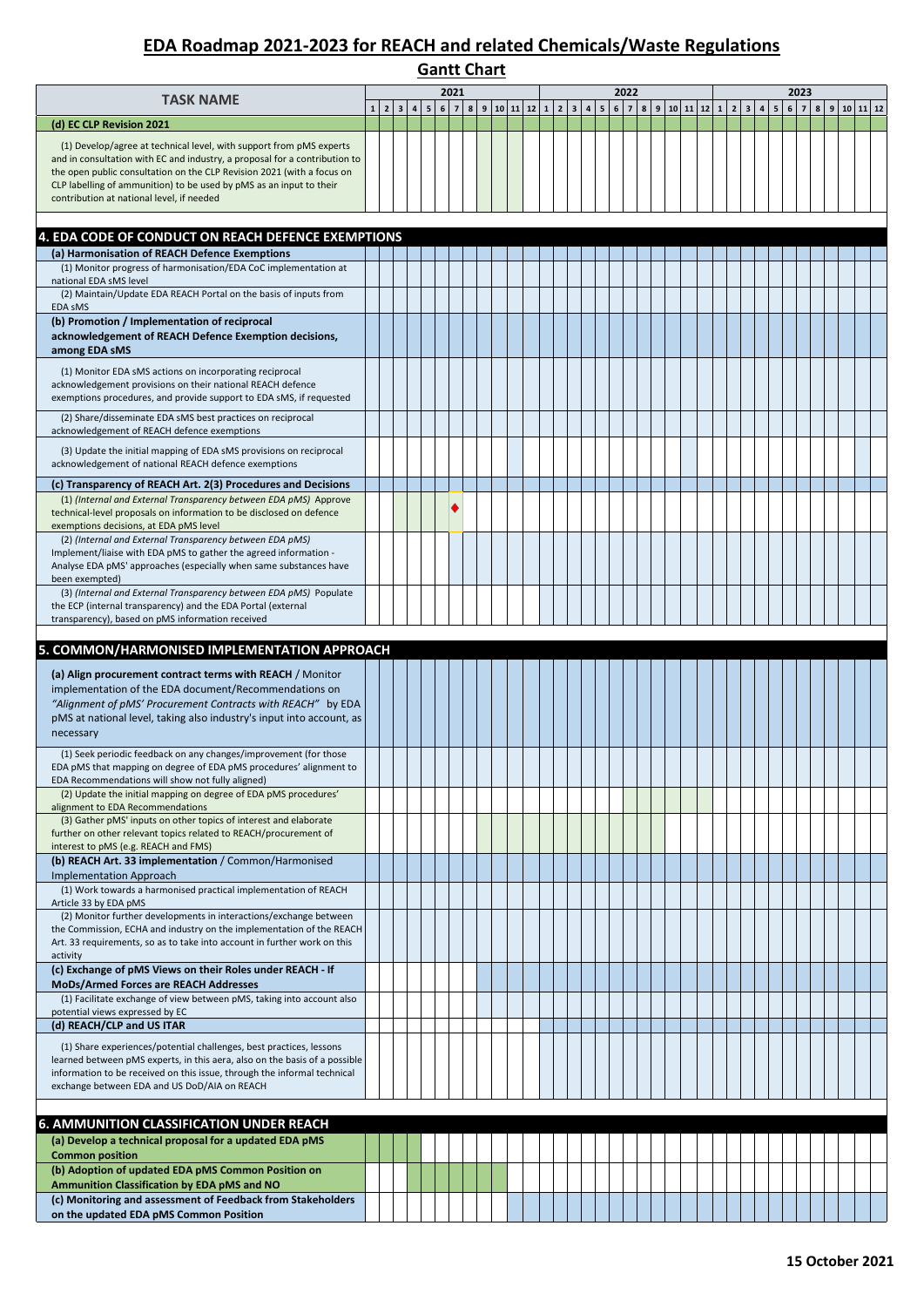| <b>Gantt Chart</b>                                                                                                                                                                                                                                                                                                                              |  |                   |     |  |     |      |  |  |  |  |  |                     |  |      |  |  |  |  |                                                                                                          |             |  |                  |  |
|-------------------------------------------------------------------------------------------------------------------------------------------------------------------------------------------------------------------------------------------------------------------------------------------------------------------------------------------------|--|-------------------|-----|--|-----|------|--|--|--|--|--|---------------------|--|------|--|--|--|--|----------------------------------------------------------------------------------------------------------|-------------|--|------------------|--|
| <b>TASK NAME</b>                                                                                                                                                                                                                                                                                                                                |  | $1 \vert 2 \vert$ | 3 4 |  | 5 6 | 2021 |  |  |  |  |  | 7 8 9 10 11 12 1 23 |  | 2022 |  |  |  |  | $4 \mid 5 \mid 6 \mid 7 \mid 8 \mid 9 \mid 10 \mid 11 \mid 12 \mid 1 \mid 2 \mid 3 \mid 4 \mid 5 \mid 6$ | 2023<br>7 8 |  | 9   10   11   12 |  |
| (d) EC CLP Revision 2021                                                                                                                                                                                                                                                                                                                        |  |                   |     |  |     |      |  |  |  |  |  |                     |  |      |  |  |  |  |                                                                                                          |             |  |                  |  |
| (1) Develop/agree at technical level, with support from pMS experts<br>and in consultation with EC and industry, a proposal for a contribution to<br>the open public consultation on the CLP Revision 2021 (with a focus on<br>CLP labelling of ammunition) to be used by pMS as an input to their<br>contribution at national level, if needed |  |                   |     |  |     |      |  |  |  |  |  |                     |  |      |  |  |  |  |                                                                                                          |             |  |                  |  |
| 4. EDA CODE OF CONDUCT ON REACH DEFENCE EXEMPTIONS                                                                                                                                                                                                                                                                                              |  |                   |     |  |     |      |  |  |  |  |  |                     |  |      |  |  |  |  |                                                                                                          |             |  |                  |  |
| (a) Harmonisation of REACH Defence Exemptions                                                                                                                                                                                                                                                                                                   |  |                   |     |  |     |      |  |  |  |  |  |                     |  |      |  |  |  |  |                                                                                                          |             |  |                  |  |
| (1) Monitor progress of harmonisation/EDA CoC implementation at<br>national EDA sMS level<br>(2) Maintain/Update EDA REACH Portal on the basis of inputs from<br>EDA SMS                                                                                                                                                                        |  |                   |     |  |     |      |  |  |  |  |  |                     |  |      |  |  |  |  |                                                                                                          |             |  |                  |  |
| (b) Promotion / Implementation of reciprocal<br>acknowledgement of REACH Defence Exemption decisions,<br>among EDA sMS                                                                                                                                                                                                                          |  |                   |     |  |     |      |  |  |  |  |  |                     |  |      |  |  |  |  |                                                                                                          |             |  |                  |  |
| (1) Monitor EDA sMS actions on incorporating reciprocal<br>acknowledgement provisions on their national REACH defence<br>exemptions procedures, and provide support to EDA sMS, if requested                                                                                                                                                    |  |                   |     |  |     |      |  |  |  |  |  |                     |  |      |  |  |  |  |                                                                                                          |             |  |                  |  |
| (2) Share/disseminate EDA sMS best practices on reciprocal<br>acknowledgement of REACH defence exemptions                                                                                                                                                                                                                                       |  |                   |     |  |     |      |  |  |  |  |  |                     |  |      |  |  |  |  |                                                                                                          |             |  |                  |  |
| (3) Update the initial mapping of EDA sMS provisions on reciprocal<br>acknowledgement of national REACH defence exemptions                                                                                                                                                                                                                      |  |                   |     |  |     |      |  |  |  |  |  |                     |  |      |  |  |  |  |                                                                                                          |             |  |                  |  |
| (c) Transparency of REACH Art. 2(3) Procedures and Decisions<br>(1) (Internal and External Transparency between EDA pMS) Approve<br>technical-level proposals on information to be disclosed on defence<br>exemptions decisions, at EDA pMS level                                                                                               |  |                   |     |  |     |      |  |  |  |  |  |                     |  |      |  |  |  |  |                                                                                                          |             |  |                  |  |
| (2) (Internal and External Transparency between EDA pMS)<br>Implement/liaise with EDA pMS to gather the agreed information -<br>Analyse EDA pMS' approaches (especially when same substances have<br>been exempted)                                                                                                                             |  |                   |     |  |     |      |  |  |  |  |  |                     |  |      |  |  |  |  |                                                                                                          |             |  |                  |  |
| (3) (Internal and External Transparency between EDA pMS) Populate<br>the ECP (internal transparency) and the EDA Portal (external<br>transparency), based on pMS information received                                                                                                                                                           |  |                   |     |  |     |      |  |  |  |  |  |                     |  |      |  |  |  |  |                                                                                                          |             |  |                  |  |
| 5. COMMON/HARMONISED IMPLEMENTATION APPROACH                                                                                                                                                                                                                                                                                                    |  |                   |     |  |     |      |  |  |  |  |  |                     |  |      |  |  |  |  |                                                                                                          |             |  |                  |  |
| (a) Align procurement contract terms with REACH / Monitor<br>implementation of the EDA document/Recommendations on<br>"Alignment of pMS' Procurement Contracts with REACH" by EDA<br>pMS at national level, taking also industry's input into account, as                                                                                       |  |                   |     |  |     |      |  |  |  |  |  |                     |  |      |  |  |  |  |                                                                                                          |             |  |                  |  |
| necessary<br>(1) Seek periodic feedback on any changes/improvement (for those                                                                                                                                                                                                                                                                   |  |                   |     |  |     |      |  |  |  |  |  |                     |  |      |  |  |  |  |                                                                                                          |             |  |                  |  |
| EDA pMS that mapping on degree of EDA pMS procedures' alignment to<br>EDA Recommendations will show not fully aligned)<br>(2) Update the initial mapping on degree of EDA pMS procedures'                                                                                                                                                       |  |                   |     |  |     |      |  |  |  |  |  |                     |  |      |  |  |  |  |                                                                                                          |             |  |                  |  |
| alignment to EDA Recommendations<br>(3) Gather pMS' inputs on other topics of interest and elaborate<br>further on other relevant topics related to REACH/procurement of<br>interest to pMS (e.g. REACH and FMS)                                                                                                                                |  |                   |     |  |     |      |  |  |  |  |  |                     |  |      |  |  |  |  |                                                                                                          |             |  |                  |  |
| (b) REACH Art. 33 implementation / Common/Harmonised<br>Implementation Approach                                                                                                                                                                                                                                                                 |  |                   |     |  |     |      |  |  |  |  |  |                     |  |      |  |  |  |  |                                                                                                          |             |  |                  |  |
| (1) Work towards a harmonised practical implementation of REACH<br>Article 33 by EDA pMS                                                                                                                                                                                                                                                        |  |                   |     |  |     |      |  |  |  |  |  |                     |  |      |  |  |  |  |                                                                                                          |             |  |                  |  |
| (2) Monitor further developments in interactions/exchange between<br>the Commission, ECHA and industry on the implementation of the REACH<br>Art. 33 requirements, so as to take into account in further work on this<br>activity                                                                                                               |  |                   |     |  |     |      |  |  |  |  |  |                     |  |      |  |  |  |  |                                                                                                          |             |  |                  |  |
| (c) Exchange of pMS Views on their Roles under REACH - If<br>MoDs/Armed Forces are REACH Addresses                                                                                                                                                                                                                                              |  |                   |     |  |     |      |  |  |  |  |  |                     |  |      |  |  |  |  |                                                                                                          |             |  |                  |  |
| (1) Facilitate exchange of view between pMS, taking into account also<br>potential views expressed by EC                                                                                                                                                                                                                                        |  |                   |     |  |     |      |  |  |  |  |  |                     |  |      |  |  |  |  |                                                                                                          |             |  |                  |  |
| (d) REACH/CLP and US ITAR<br>(1) Share experiences/potential challenges, best practices, lessons<br>learned between pMS experts, in this aera, also on the basis of a possible<br>information to be received on this issue, through the informal technical                                                                                      |  |                   |     |  |     |      |  |  |  |  |  |                     |  |      |  |  |  |  |                                                                                                          |             |  |                  |  |
| exchange between EDA and US DoD/AIA on REACH                                                                                                                                                                                                                                                                                                    |  |                   |     |  |     |      |  |  |  |  |  |                     |  |      |  |  |  |  |                                                                                                          |             |  |                  |  |
| <b>6. AMMUNITION CLASSIFICATION UNDER REACH</b>                                                                                                                                                                                                                                                                                                 |  |                   |     |  |     |      |  |  |  |  |  |                     |  |      |  |  |  |  |                                                                                                          |             |  |                  |  |
| (a) Develop a technical proposal for a updated EDA pMS<br><b>Common position</b>                                                                                                                                                                                                                                                                |  |                   |     |  |     |      |  |  |  |  |  |                     |  |      |  |  |  |  |                                                                                                          |             |  |                  |  |
| (b) Adoption of updated EDA pMS Common Position on<br>Ammunition Classification by EDA pMS and NO                                                                                                                                                                                                                                               |  |                   |     |  |     |      |  |  |  |  |  |                     |  |      |  |  |  |  |                                                                                                          |             |  |                  |  |
| (c) Monitoring and assessment of Feedback from Stakeholders<br>on the updated EDA pMS Common Position                                                                                                                                                                                                                                           |  |                   |     |  |     |      |  |  |  |  |  |                     |  |      |  |  |  |  |                                                                                                          |             |  |                  |  |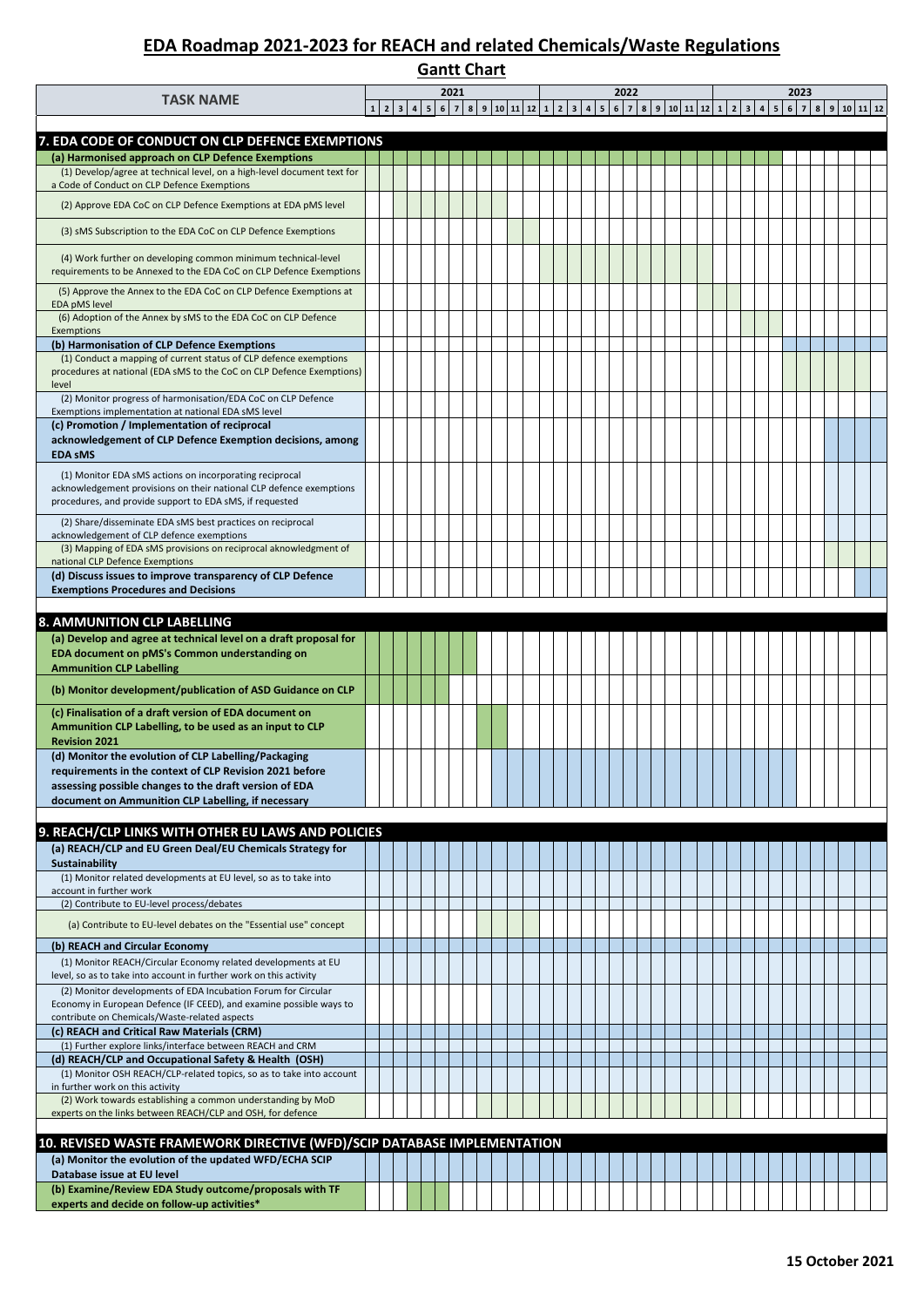#### **Gantt Chart**  $\begin{bmatrix} 6 & 7 & 8 & 9 & 10 & 11 \end{bmatrix}$ **TASK NAME <sup>2021</sup> <sup>2022</sup> <sup>2023</sup> (a) Harmonised approach on CLP Defence Exemptions** (1) Develop/agree at technical level, on a high-level document text for a Code of Conduct on CLP Defence Exemptions (2) Approve EDA CoC on CLP Defence Exemptions at EDA pMS level (3) sMS Subscription to the EDA CoC on CLP Defence Exemptions (4) Work further on developing common minimum technical-level requirements to be Annexed to the EDA CoC on CLP Defence Exemptions (5) Approve the Annex to the EDA CoC on CLP Defence Exemptions at EDA pMS level (6) Adoption of the Annex by sMS to the EDA CoC on CLP Defence Exemptions **(b) Harmonisation of CLP Defence Exemptions** (1) Conduct a mapping of current status of CLP defence exemptions procedures at national (EDA sMS to the CoC on CLP Defence Exemptions) level (2) Monitor progress of harmonisation/EDA CoC on CLP Defence Exemptions implementation at national EDA sMS level **(c) Promotion / Implementation of reciprocal acknowledgement of CLP Defence Exemption decisions, among EDA sMS** (1) Monitor EDA sMS actions on incorporating reciprocal acknowledgement provisions on their national CLP defence exemptions procedures, and provide support to EDA sMS, if requested (2) Share/disseminate EDA sMS best practices on reciprocal acknowledgement of CLP defence exemptions (3) Mapping of EDA sMS provisions on reciprocal aknowledgment of national CLP Defence Exemptions **(d) Discuss issues to improve transparency of CLP Defence Exemptions Procedures and Decisions (a) Develop and agree at technical level on a draft proposal for EDA document on pMS's Common understanding on Ammunition CLP Labelling (b) Monitor development/publication of ASD Guidance on CLP (c) Finalisation of a draft version of EDA document on Ammunition CLP Labelling, to be used as an input to CLP Revision 2021 (d) Monitor the evolution of CLP Labelling/Packaging requirements in the context of CLP Revision 2021 before assessing possible changes to the draft version of EDA document on Ammunition CLP Labelling, if necessary (a) REACH/CLP and EU Green Deal/EU Chemicals Strategy for Sustainability** (1) Monitor related developments at EU level, so as to take into account in further work (2) Contribute to EU-level process/debates (a) Contribute to EU-level debates on the "Essential use" concept **(b) REACH and Circular Economy** (1) Monitor REACH/Circular Economy related developments at EU level, so as to take into account in further work on this activity (2) Monitor developments of EDA Incubation Forum for Circular Economy in European Defence (IF CEED), and examine possible ways to contribute on Chemicals/Waste-related aspects **(c) REACH and Critical Raw Materials (CRM)**  (1) Further explore links/interface between REACH and CRM **(d) REACH/CLP and Occupational Safety & Health (OSH)** (1) Monitor OSH REACH/CLP-related topics, so as to take into account in further work on this activity (2) Work towards establishing a common understanding by MoD experts on the links between REACH/CLP and OSH, for defence **(a) Monitor the evolution of the updated WFD/ECHA SCIP Database issue at EU level (b) Examine/Review EDA Study outcome/proposals with TF experts and decide on follow-up activities\* 7. EDA CODE OF CONDUCT ON CLP DEFENCE EXEMPTIONS 8. AMMUNITION CLP LABELLING 9. REACH/CLP LINKS WITH OTHER EU LAWS AND POLICIES 10. REVISED WASTE FRAMEWORK DIRECTIVE (WFD)/SCIP DATABASE IMPLEMENTATION**